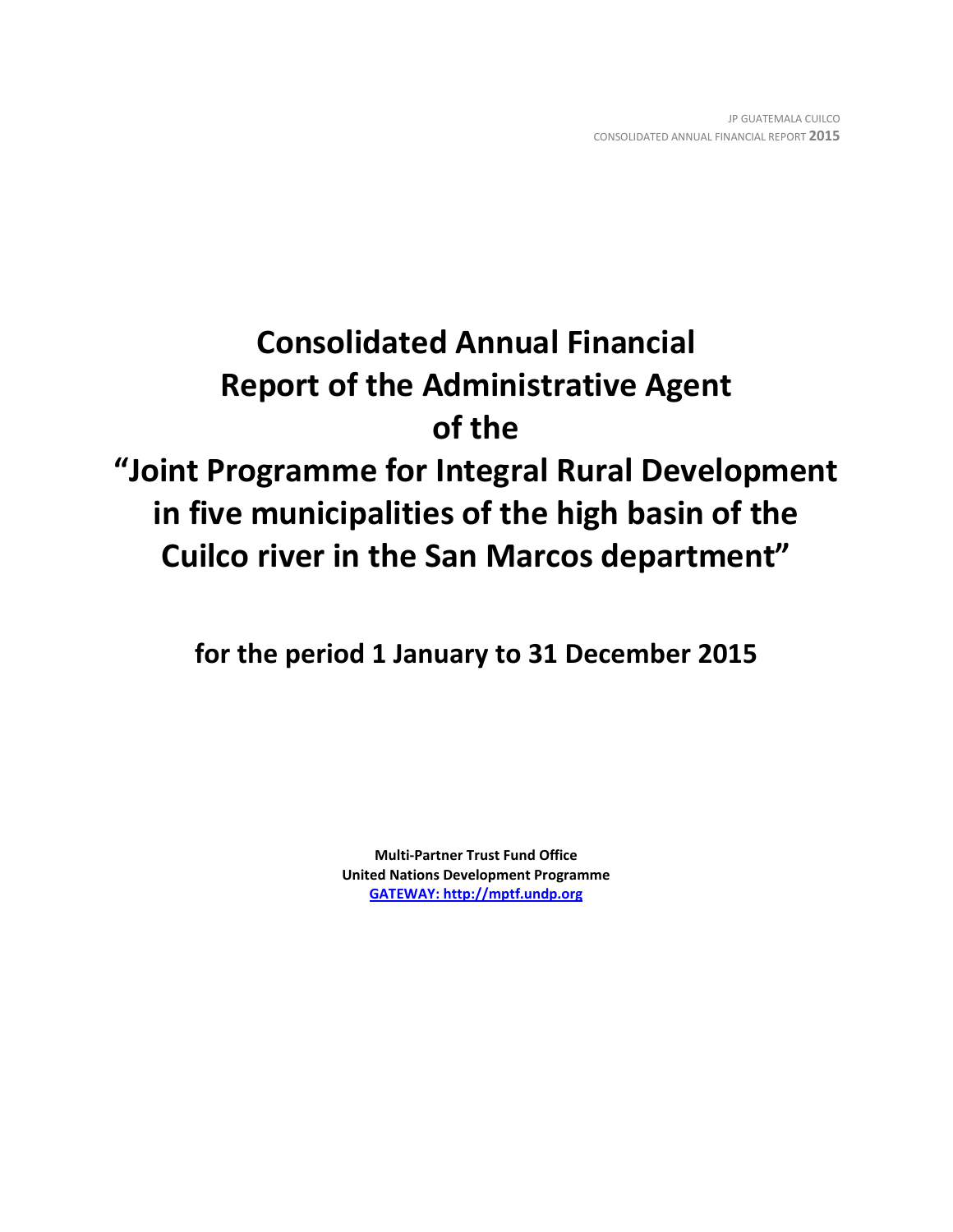# **Consolidated Annual Financial Report of the Administrative Agent of the "Joint Programme for Integral Rural Development in five municipalities of the high basin of the Cuilco river in the San Marcos department"**

**for the period 1 January to 31 December 2015**

**Multi-Partner Trust Fund Office United Nations Development Programme [GATEWAY: http://mptf.undp.org](http://mptf.undp.org/)**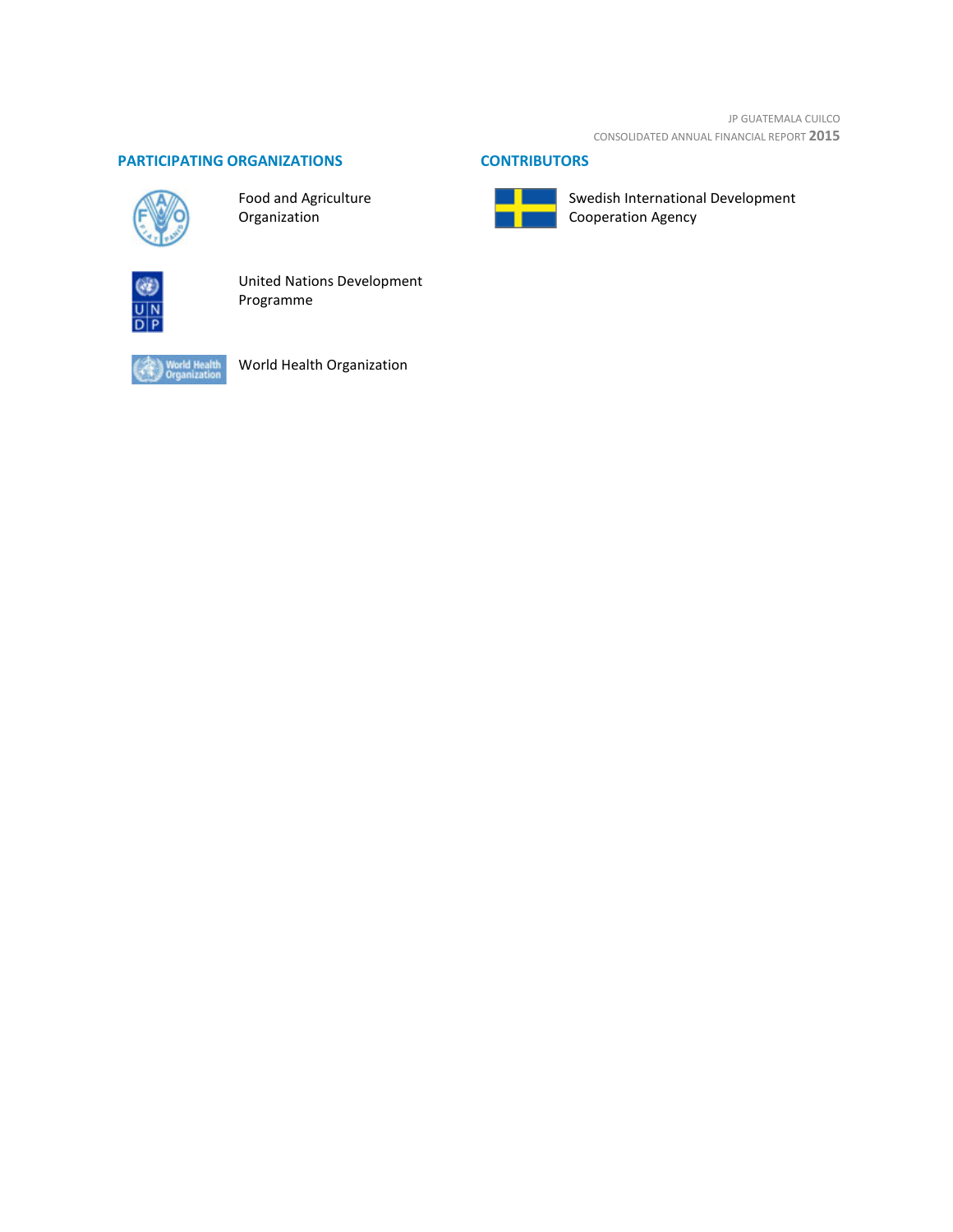JP GUATEMALA CUILCO CONSOLIDATED ANNUAL FINANCIAL REPORT **2015**

# **PARTICIPATING ORGANIZATIONS CONTRIBUTORS**



Food and Agriculture Organization



United Nations Development Programme



World Health Organization



Swedish International Development Cooperation Agency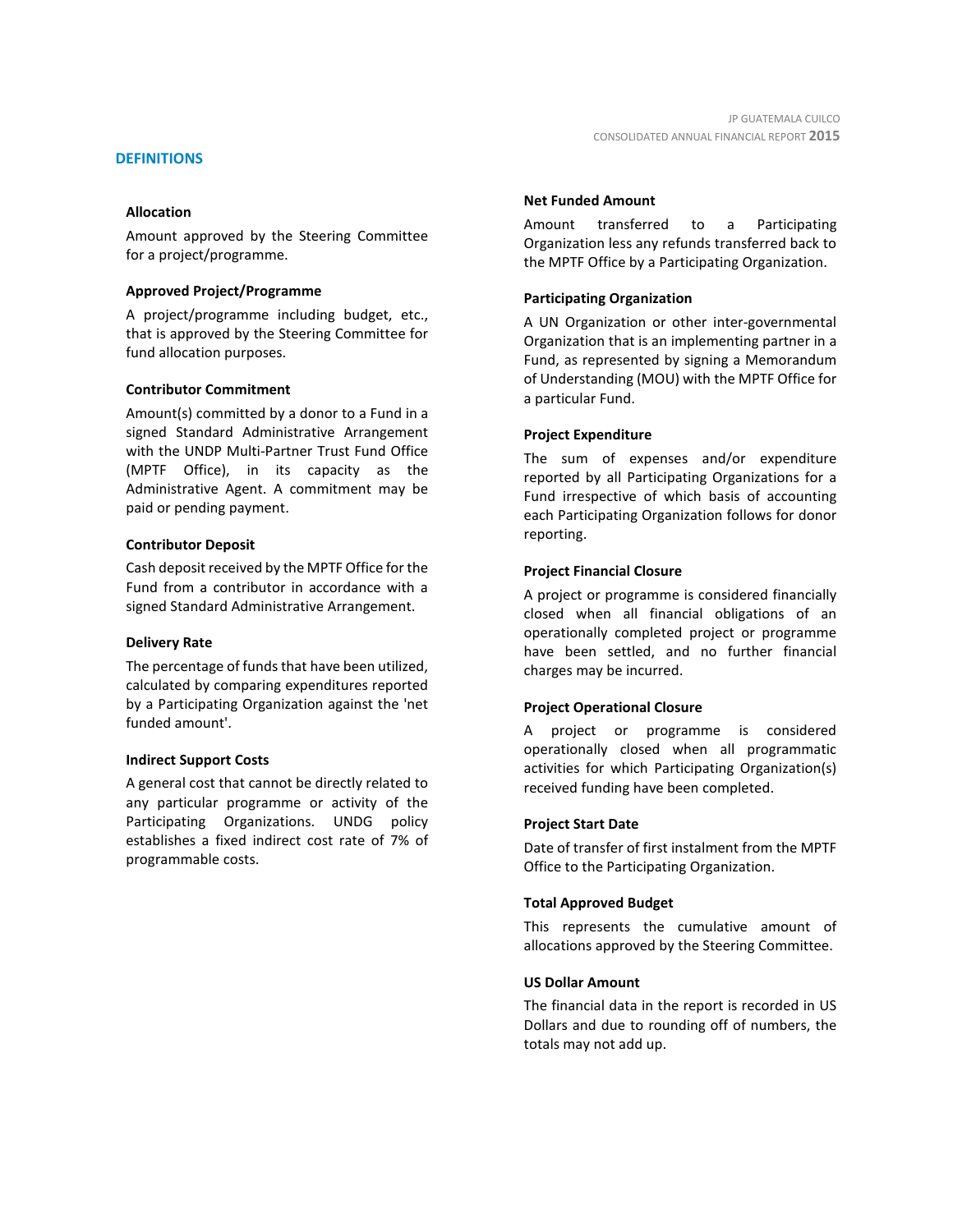# **DEFINITIONS**

# **Allocation**

Amount approved by the Steering Committee for a project/programme.

# **Approved Project/Programme**

A project/programme including budget, etc., that is approved by the Steering Committee for fund allocation purposes.

# **Contributor Commitment**

Amount(s) committed by a donor to a Fund in a signed Standard Administrative Arrangement with the UNDP Multi-Partner Trust Fund Office (MPTF Office), in its capacity as the Administrative Agent. A commitment may be paid or pending payment.

# **Contributor Deposit**

Cash deposit received by the MPTF Office for the Fund from a contributor in accordance with a signed Standard Administrative Arrangement.

# **Delivery Rate**

The percentage of funds that have been utilized, calculated by comparing expenditures reported by a Participating Organization against the 'net funded amount'.

# **Indirect Support Costs**

A general cost that cannot be directly related to any particular programme or activity of the Participating Organizations. UNDG policy establishes a fixed indirect cost rate of 7% of programmable costs.

# **Net Funded Amount**

Amount transferred to a Participating Organization less any refunds transferred back to the MPTF Office by a Participating Organization.

# **Participating Organization**

A UN Organization or other inter-governmental Organization that is an implementing partner in a Fund, as represented by signing a Memorandum of Understanding (MOU) with the MPTF Office for a particular Fund.

# **Project Expenditure**

The sum of expenses and/or expenditure reported by all Participating Organizations for a Fund irrespective of which basis of accounting each Participating Organization follows for donor reporting.

# **Project Financial Closure**

A project or programme is considered financially closed when all financial obligations of an operationally completed project or programme have been settled, and no further financial charges may be incurred.

# **Project Operational Closure**

A project or programme is considered operationally closed when all programmatic activities for which Participating Organization(s) received funding have been completed.

# **Project Start Date**

Date of transfer of first instalment from the MPTF Office to the Participating Organization.

# **Total Approved Budget**

This represents the cumulative amount of allocations approved by the Steering Committee.

# **US Dollar Amount**

The financial data in the report is recorded in US Dollars and due to rounding off of numbers, the totals may not add up.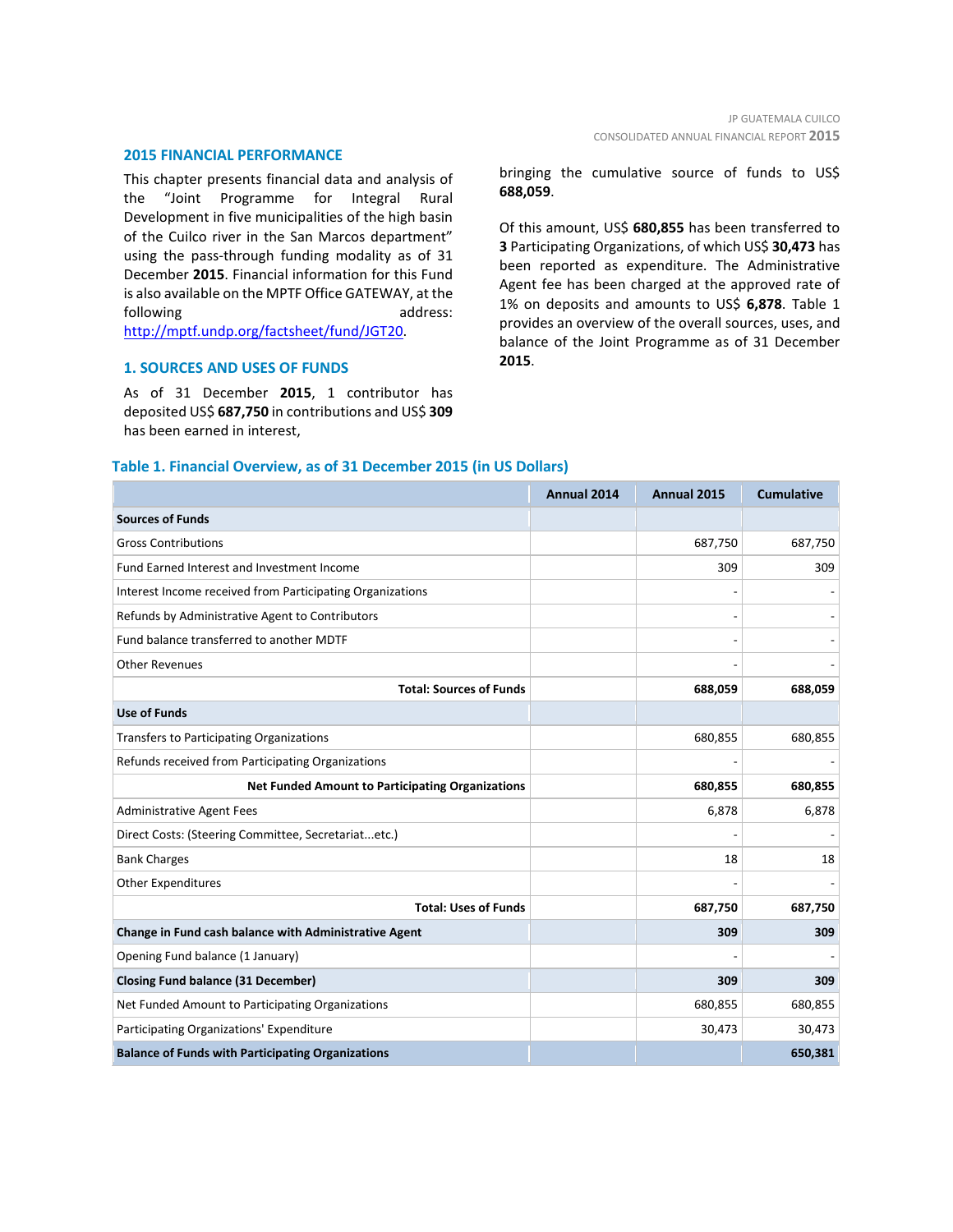#### **2015 FINANCIAL PERFORMANCE**

This chapter presents financial data and analysis of the "Joint Programme for Integral Rural Development in five municipalities of the high basin of the Cuilco river in the San Marcos department" using the pass-through funding modality as of 31 December **2015**. Financial information for this Fund is also available on the MPTF Office GATEWAY, at the following address: [http://mptf.undp.org/factsheet/fund/JGT20.](http://mptf.undp.org/factsheet/fund/JGT20)

# **1. SOURCES AND USES OF FUNDS**

As of 31 December **2015**, 1 contributor has deposited US\$ **687,750** in contributions and US\$ **309** has been earned in interest,

bringing the cumulative source of funds to US\$ **688,059**.

Of this amount, US\$ **680,855** has been transferred to **3** Participating Organizations, of which US\$ **30,473** has been reported as expenditure. The Administrative Agent fee has been charged at the approved rate of 1% on deposits and amounts to US\$ **6,878**. Table 1 provides an overview of the overall sources, uses, and balance of the Joint Programme as of 31 December **2015**.

|                                                           | Annual 2014 | Annual 2015 | <b>Cumulative</b> |
|-----------------------------------------------------------|-------------|-------------|-------------------|
| <b>Sources of Funds</b>                                   |             |             |                   |
| <b>Gross Contributions</b>                                |             | 687,750     | 687,750           |
| Fund Earned Interest and Investment Income                |             | 309         | 309               |
| Interest Income received from Participating Organizations |             |             |                   |
| Refunds by Administrative Agent to Contributors           |             |             |                   |
| Fund balance transferred to another MDTF                  |             |             |                   |
| <b>Other Revenues</b>                                     |             |             |                   |
| <b>Total: Sources of Funds</b>                            |             | 688,059     | 688,059           |
| <b>Use of Funds</b>                                       |             |             |                   |
| <b>Transfers to Participating Organizations</b>           |             | 680,855     | 680,855           |
| Refunds received from Participating Organizations         |             |             |                   |
| <b>Net Funded Amount to Participating Organizations</b>   |             | 680,855     | 680,855           |
| <b>Administrative Agent Fees</b>                          |             | 6,878       | 6,878             |
| Direct Costs: (Steering Committee, Secretariatetc.)       |             |             |                   |
| <b>Bank Charges</b>                                       |             | 18          | 18                |
| <b>Other Expenditures</b>                                 |             |             |                   |
| <b>Total: Uses of Funds</b>                               |             | 687,750     | 687,750           |
| Change in Fund cash balance with Administrative Agent     |             | 309         | 309               |
| Opening Fund balance (1 January)                          |             |             |                   |
| <b>Closing Fund balance (31 December)</b>                 |             | 309         | 309               |
| Net Funded Amount to Participating Organizations          |             | 680,855     | 680,855           |
| Participating Organizations' Expenditure                  |             | 30,473      | 30,473            |
| <b>Balance of Funds with Participating Organizations</b>  |             |             | 650,381           |

# **Table 1. Financial Overview, as of 31 December 2015 (in US Dollars)**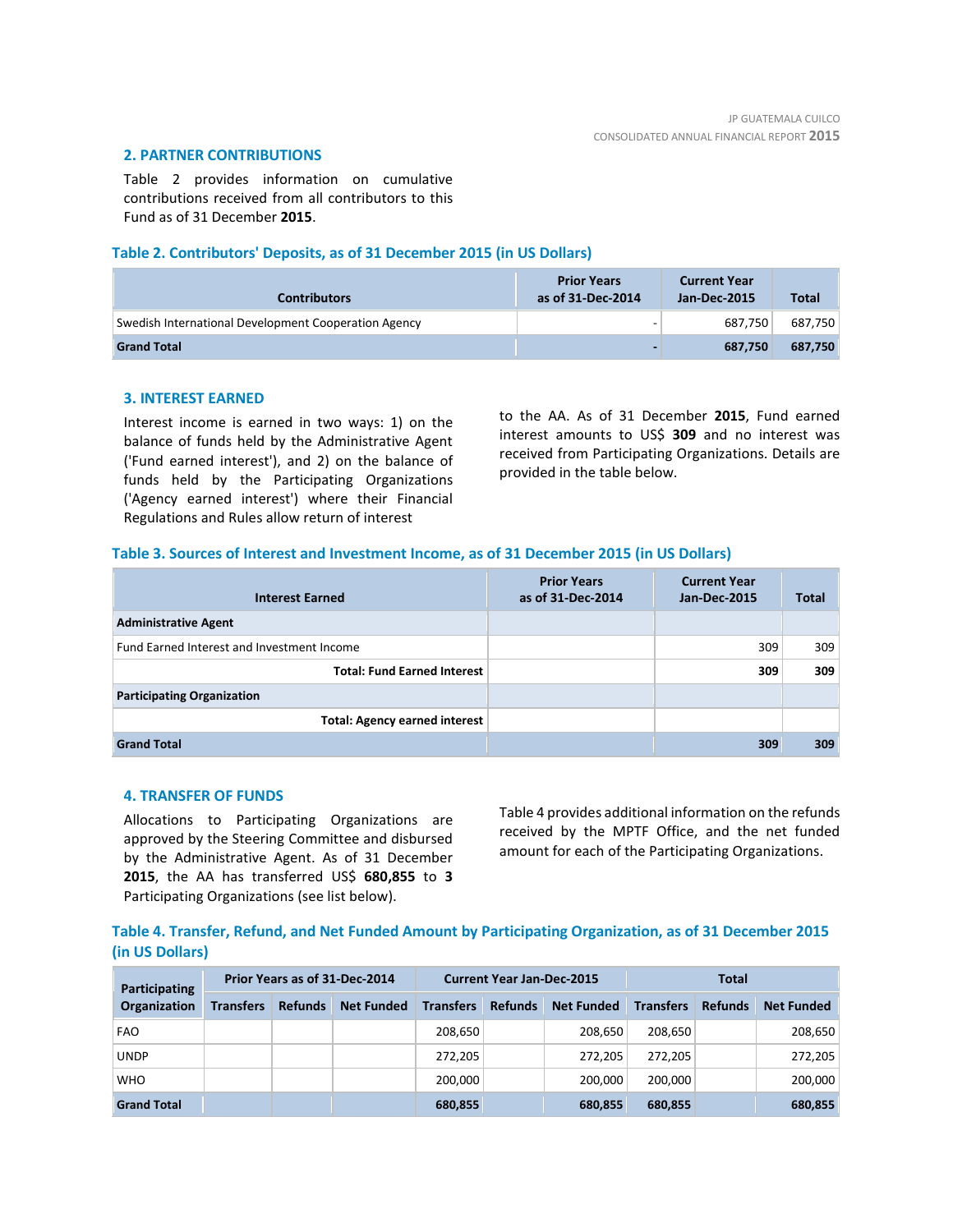# **2. PARTNER CONTRIBUTIONS**

Table 2 provides information on cumulative contributions received from all contributors to this Fund as of 31 December **2015**.

# **Table 2. Contributors' Deposits, as of 31 December 2015 (in US Dollars)**

| <b>Contributors</b>                                  | <b>Prior Years</b><br>as of 31-Dec-2014 | <b>Current Year</b><br>Jan-Dec-2015 | <b>Total</b> |
|------------------------------------------------------|-----------------------------------------|-------------------------------------|--------------|
| Swedish International Development Cooperation Agency |                                         | 687.750                             | 687.750      |
| <b>Grand Total</b>                                   |                                         | 687.750                             | 687,750      |

# **3. INTEREST EARNED**

Interest income is earned in two ways: 1) on the balance of funds held by the Administrative Agent ('Fund earned interest'), and 2) on the balance of funds held by the Participating Organizations ('Agency earned interest') where their Financial Regulations and Rules allow return of interest

to the AA. As of 31 December **2015**, Fund earned interest amounts to US\$ **309** and no interest was received from Participating Organizations. Details are provided in the table below.

# **Table 3. Sources of Interest and Investment Income, as of 31 December 2015 (in US Dollars)**

| <b>Interest Earned</b>                     | <b>Prior Years</b><br>as of 31-Dec-2014 | <b>Current Year</b><br>Jan-Dec-2015 | <b>Total</b> |
|--------------------------------------------|-----------------------------------------|-------------------------------------|--------------|
| <b>Administrative Agent</b>                |                                         |                                     |              |
| Fund Earned Interest and Investment Income |                                         | 309                                 | 309          |
| <b>Total: Fund Earned Interest</b>         |                                         | 309                                 | 309          |
| <b>Participating Organization</b>          |                                         |                                     |              |
| <b>Total: Agency earned interest</b>       |                                         |                                     |              |
| <b>Grand Total</b>                         |                                         | 309                                 | 309          |

# **4. TRANSFER OF FUNDS**

Allocations to Participating Organizations are approved by the Steering Committee and disbursed by the Administrative Agent. As of 31 December **2015**, the AA has transferred US\$ **680,855** to **3** Participating Organizations (see list below).

Table 4 provides additional information on the refunds received by the MPTF Office, and the net funded amount for each of the Participating Organizations.

**Table 4. Transfer, Refund, and Net Funded Amount by Participating Organization, as of 31 December 2015 (in US Dollars)**

| Participating      | Prior Years as of 31-Dec-2014 |                |                   | <b>Current Year Jan-Dec-2015</b> |                |                   | Total            |                |                   |
|--------------------|-------------------------------|----------------|-------------------|----------------------------------|----------------|-------------------|------------------|----------------|-------------------|
| Organization       | <b>Transfers</b>              | <b>Refunds</b> | <b>Net Funded</b> | <b>Transfers</b>                 | <b>Refunds</b> | <b>Net Funded</b> | <b>Transfers</b> | <b>Refunds</b> | <b>Net Funded</b> |
| <b>FAO</b>         |                               |                |                   | 208,650                          |                | 208.650           | 208.650          |                | 208,650           |
| <b>UNDP</b>        |                               |                |                   | 272,205                          |                | 272.205           | 272.205          |                | 272,205           |
| <b>WHO</b>         |                               |                |                   | 200,000                          |                | 200.000           | 200.000          |                | 200,000           |
| <b>Grand Total</b> |                               |                |                   | 680,855                          |                | 680,855           | 680,855          |                | 680,855           |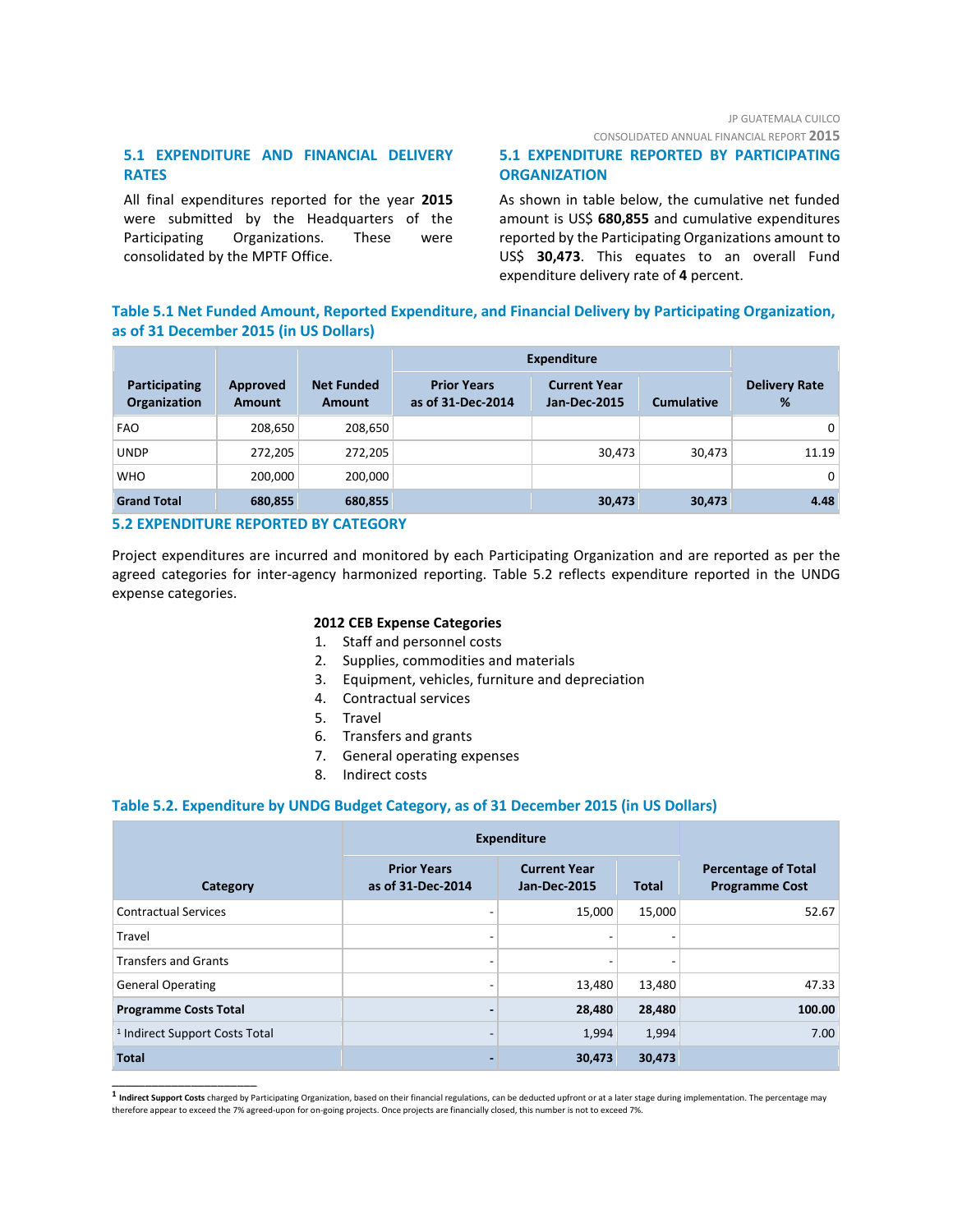CONSOLIDATED ANNUAL FINANCIAL REPORT **2015**

# **5.1 EXPENDITURE AND FINANCIAL DELIVERY RATES**

All final expenditures reported for the year **2015** were submitted by the Headquarters of the Participating Organizations. These were consolidated by the MPTF Office.

# **5.1 EXPENDITURE REPORTED BY PARTICIPATING ORGANIZATION**

As shown in table below, the cumulative net funded amount is US\$ **680,855** and cumulative expenditures reported by the Participating Organizations amount to US\$ **30,473**. This equates to an overall Fund expenditure delivery rate of **4** percent.

# **Table 5.1 Net Funded Amount, Reported Expenditure, and Financial Delivery by Participating Organization, as of 31 December 2015 (in US Dollars)**

|                               |                           |                                    | <b>Expenditure</b>                      |                                            |                   |                           |
|-------------------------------|---------------------------|------------------------------------|-----------------------------------------|--------------------------------------------|-------------------|---------------------------|
| Participating<br>Organization | Approved<br><b>Amount</b> | <b>Net Funded</b><br><b>Amount</b> | <b>Prior Years</b><br>as of 31-Dec-2014 | <b>Current Year</b><br><b>Jan-Dec-2015</b> | <b>Cumulative</b> | <b>Delivery Rate</b><br>% |
| <b>FAO</b>                    | 208,650                   | 208,650                            |                                         |                                            |                   | 0 <sup>1</sup>            |
| <b>UNDP</b>                   | 272,205                   | 272,205                            |                                         | 30,473                                     | 30.473            | 11.19                     |
| <b>WHO</b>                    | 200,000                   | 200,000                            |                                         |                                            |                   | 0 <sup>1</sup>            |
| <b>Grand Total</b>            | 680,855                   | 680,855                            |                                         | 30,473                                     | 30,473            | 4.48                      |

# **5.2 EXPENDITURE REPORTED BY CATEGORY**

\_\_\_\_\_\_\_\_\_\_\_\_\_\_\_\_\_\_\_\_\_\_

Project expenditures are incurred and monitored by each Participating Organization and are reported as per the agreed categories for inter-agency harmonized reporting. Table 5.2 reflects expenditure reported in the UNDG expense categories.

# **2012 CEB Expense Categories**

- 1. Staff and personnel costs
- 2. Supplies, commodities and materials
- 3. Equipment, vehicles, furniture and depreciation
- 4. Contractual services
- 5. Travel
- 6. Transfers and grants
- 7. General operating expenses
- 8. Indirect costs

# **Table 5.2. Expenditure by UNDG Budget Category, as of 31 December 2015 (in US Dollars)**

|                                           | <b>Expenditure</b>                      |                                            |              |                                                     |
|-------------------------------------------|-----------------------------------------|--------------------------------------------|--------------|-----------------------------------------------------|
| Category                                  | <b>Prior Years</b><br>as of 31-Dec-2014 | <b>Current Year</b><br><b>Jan-Dec-2015</b> | <b>Total</b> | <b>Percentage of Total</b><br><b>Programme Cost</b> |
| <b>Contractual Services</b>               |                                         | 15,000                                     | 15,000       | 52.67                                               |
| Travel                                    |                                         |                                            |              |                                                     |
| <b>Transfers and Grants</b>               | -                                       |                                            |              |                                                     |
| <b>General Operating</b>                  |                                         | 13,480                                     | 13,480       | 47.33                                               |
| <b>Programme Costs Total</b>              |                                         | 28,480                                     | 28,480       | 100.00                                              |
| <sup>1</sup> Indirect Support Costs Total | -                                       | 1,994                                      | 1,994        | 7.00                                                |
| <b>Total</b>                              |                                         | 30,473                                     | 30,473       |                                                     |

**<sup>1</sup> Indirect Support Costs** charged by Participating Organization, based on their financial regulations, can be deducted upfront or at a later stage during implementation. The percentage may therefore appear to exceed the 7% agreed-upon for on-going projects. Once projects are financially closed, this number is not to exceed 7%.